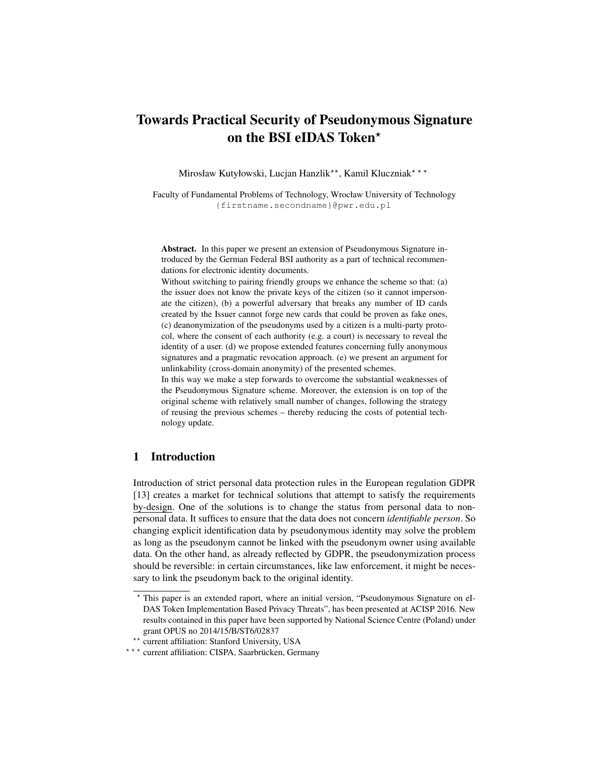# Towards Practical Security of Pseudonymous Signature on the BSI eIDAS Token\*

Mirosław Kutyłowski, Lucjan Hanzlik<sup>\*\*</sup>, Kamil Kluczniak<sup>\*\*\*</sup>

Faculty of Fundamental Problems of Technology, Wrocław University of Technology {firstname.secondname}@pwr.edu.pl

Abstract. In this paper we present an extension of Pseudonymous Signature introduced by the German Federal BSI authority as a part of technical recommendations for electronic identity documents.

Without switching to pairing friendly groups we enhance the scheme so that: (a) the issuer does not know the private keys of the citizen (so it cannot impersonate the citizen), (b) a powerful adversary that breaks any number of ID cards created by the Issuer cannot forge new cards that could be proven as fake ones, (c) deanonymization of the pseudonyms used by a citizen is a multi-party protocol, where the consent of each authority (e.g. a court) is necessary to reveal the identity of a user. (d) we propose extended features concerning fully anonymous signatures and a pragmatic revocation approach. (e) we present an argument for unlinkability (cross-domain anonymity) of the presented schemes.

In this way we make a step forwards to overcome the substantial weaknesses of the Pseudonymous Signature scheme. Moreover, the extension is on top of the original scheme with relatively small number of changes, following the strategy of reusing the previous schemes – thereby reducing the costs of potential technology update.

# 1 Introduction

Introduction of strict personal data protection rules in the European regulation GDPR [13] creates a market for technical solutions that attempt to satisfy the requirements by-design. One of the solutions is to change the status from personal data to nonpersonal data. It suffices to ensure that the data does not concern *identifiable person*. So changing explicit identification data by pseudonymous identity may solve the problem as long as the pseudonym cannot be linked with the pseudonym owner using available data. On the other hand, as already reflected by GDPR, the pseudonymization process should be reversible: in certain circumstances, like law enforcement, it might be necessary to link the pseudonym back to the original identity.

<sup>?</sup> This paper is an extended raport, where an initial version, "Pseudonymous Signature on eI-DAS Token Implementation Based Privacy Threats", has been presented at ACISP 2016. New results contained in this paper have been supported by National Science Centre (Poland) under grant OPUS no 2014/15/B/ST6/02837

current affiliation: Stanford University, USA

<sup>\* \* \*</sup> current affiliation: CISPA, Saarbrücken, Germany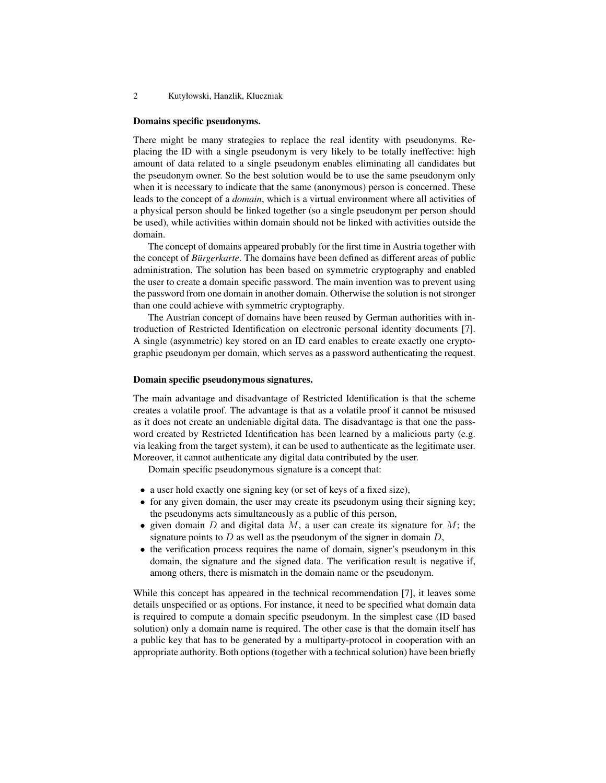#### Domains specific pseudonyms.

There might be many strategies to replace the real identity with pseudonyms. Replacing the ID with a single pseudonym is very likely to be totally ineffective: high amount of data related to a single pseudonym enables eliminating all candidates but the pseudonym owner. So the best solution would be to use the same pseudonym only when it is necessary to indicate that the same (anonymous) person is concerned. These leads to the concept of a *domain*, which is a virtual environment where all activities of a physical person should be linked together (so a single pseudonym per person should be used), while activities within domain should not be linked with activities outside the domain.

The concept of domains appeared probably for the first time in Austria together with the concept of *Bürgerkarte*. The domains have been defined as different areas of public administration. The solution has been based on symmetric cryptography and enabled the user to create a domain specific password. The main invention was to prevent using the password from one domain in another domain. Otherwise the solution is not stronger than one could achieve with symmetric cryptography.

The Austrian concept of domains have been reused by German authorities with introduction of Restricted Identification on electronic personal identity documents [7]. A single (asymmetric) key stored on an ID card enables to create exactly one cryptographic pseudonym per domain, which serves as a password authenticating the request.

### Domain specific pseudonymous signatures.

The main advantage and disadvantage of Restricted Identification is that the scheme creates a volatile proof. The advantage is that as a volatile proof it cannot be misused as it does not create an undeniable digital data. The disadvantage is that one the password created by Restricted Identification has been learned by a malicious party (e.g. via leaking from the target system), it can be used to authenticate as the legitimate user. Moreover, it cannot authenticate any digital data contributed by the user.

Domain specific pseudonymous signature is a concept that:

- a user hold exactly one signing key (or set of keys of a fixed size),
- for any given domain, the user may create its pseudonym using their signing key; the pseudonyms acts simultaneously as a public of this person,
- given domain  $D$  and digital data  $M$ , a user can create its signature for  $M$ ; the signature points to  $D$  as well as the pseudonym of the signer in domain  $D$ ,
- the verification process requires the name of domain, signer's pseudonym in this domain, the signature and the signed data. The verification result is negative if, among others, there is mismatch in the domain name or the pseudonym.

While this concept has appeared in the technical recommendation [7], it leaves some details unspecified or as options. For instance, it need to be specified what domain data is required to compute a domain specific pseudonym. In the simplest case (ID based solution) only a domain name is required. The other case is that the domain itself has a public key that has to be generated by a multiparty-protocol in cooperation with an appropriate authority. Both options (together with a technical solution) have been briefly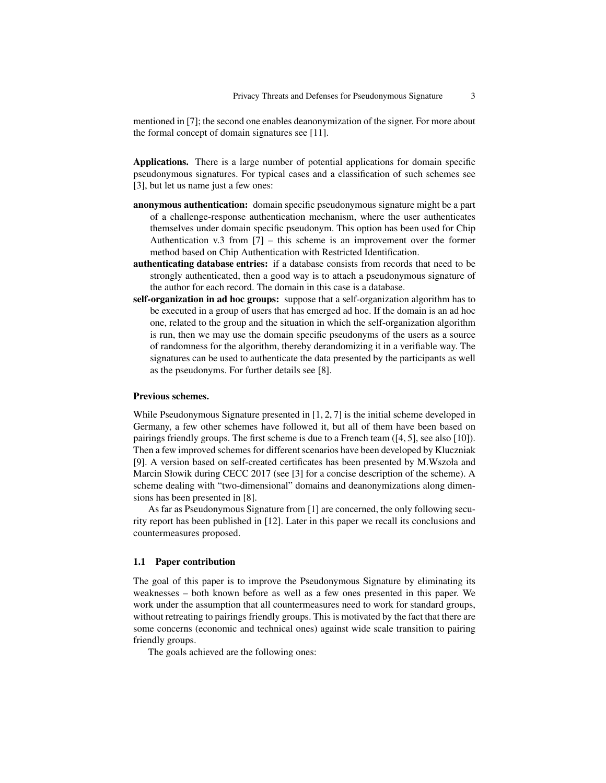mentioned in [7]; the second one enables deanonymization of the signer. For more about the formal concept of domain signatures see [11].

Applications. There is a large number of potential applications for domain specific pseudonymous signatures. For typical cases and a classification of such schemes see [3], but let us name just a few ones:

- anonymous authentication: domain specific pseudonymous signature might be a part of a challenge-response authentication mechanism, where the user authenticates themselves under domain specific pseudonym. This option has been used for Chip Authentication v.3 from [7] – this scheme is an improvement over the former method based on Chip Authentication with Restricted Identification.
- authenticating database entries: if a database consists from records that need to be strongly authenticated, then a good way is to attach a pseudonymous signature of the author for each record. The domain in this case is a database.
- self-organization in ad hoc groups: suppose that a self-organization algorithm has to be executed in a group of users that has emerged ad hoc. If the domain is an ad hoc one, related to the group and the situation in which the self-organization algorithm is run, then we may use the domain specific pseudonyms of the users as a source of randomness for the algorithm, thereby derandomizing it in a verifiable way. The signatures can be used to authenticate the data presented by the participants as well as the pseudonyms. For further details see [8].

### Previous schemes.

While Pseudonymous Signature presented in [1, 2, 7] is the initial scheme developed in Germany, a few other schemes have followed it, but all of them have been based on pairings friendly groups. The first scheme is due to a French team ([4, 5], see also [10]). Then a few improved schemes for different scenarios have been developed by Kluczniak [9]. A version based on self-created certificates has been presented by M.Wszoła and Marcin Słowik during CECC 2017 (see [3] for a concise description of the scheme). A scheme dealing with "two-dimensional" domains and deanonymizations along dimensions has been presented in [8].

As far as Pseudonymous Signature from [1] are concerned, the only following security report has been published in [12]. Later in this paper we recall its conclusions and countermeasures proposed.

#### 1.1 Paper contribution

The goal of this paper is to improve the Pseudonymous Signature by eliminating its weaknesses – both known before as well as a few ones presented in this paper. We work under the assumption that all countermeasures need to work for standard groups, without retreating to pairings friendly groups. This is motivated by the fact that there are some concerns (economic and technical ones) against wide scale transition to pairing friendly groups.

The goals achieved are the following ones: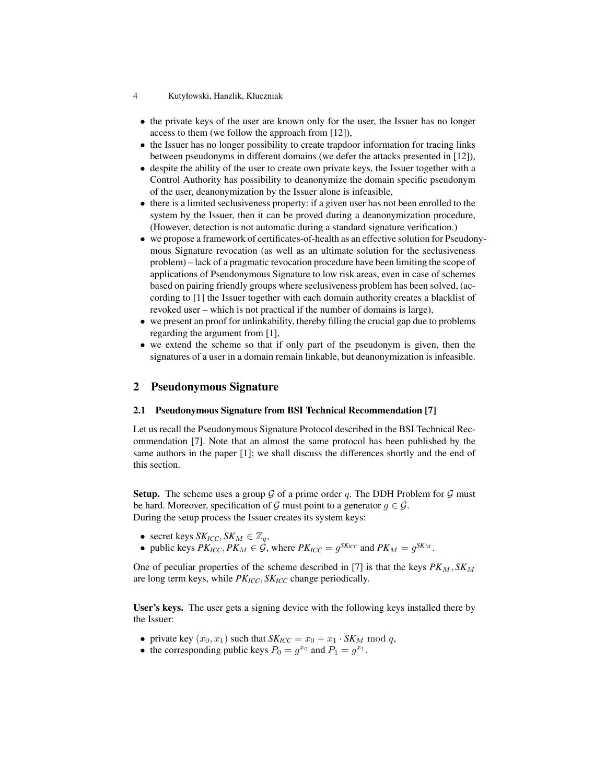- 4 Kutyłowski, Hanzlik, Kluczniak
- the private keys of the user are known only for the user, the Issuer has no longer access to them (we follow the approach from [12]),
- the Issuer has no longer possibility to create trapdoor information for tracing links between pseudonyms in different domains (we defer the attacks presented in [12]),
- despite the ability of the user to create own private keys, the Issuer together with a Control Authority has possibility to deanonymize the domain specific pseudonym of the user, deanonymization by the Issuer alone is infeasible,
- there is a limited seclusiveness property: if a given user has not been enrolled to the system by the Issuer, then it can be proved during a deanonymization procedure, (However, detection is not automatic during a standard signature verification.)
- we propose a framework of certificates-of-health as an effective solution for Pseudonymous Signature revocation (as well as an ultimate solution for the seclusiveness problem) – lack of a pragmatic revocation procedure have been limiting the scope of applications of Pseudonymous Signature to low risk areas, even in case of schemes based on pairing friendly groups where seclusiveness problem has been solved, (according to [1] the Issuer together with each domain authority creates a blacklist of revoked user – which is not practical if the number of domains is large),
- we present an proof for unlinkability, thereby filling the crucial gap due to problems regarding the argument from [1],
- we extend the scheme so that if only part of the pseudonym is given, then the signatures of a user in a domain remain linkable, but deanonymization is infeasible.

# 2 Pseudonymous Signature

### 2.1 Pseudonymous Signature from BSI Technical Recommendation [7]

Let us recall the Pseudonymous Signature Protocol described in the BSI Technical Recommendation [7]. Note that an almost the same protocol has been published by the same authors in the paper [1]; we shall discuss the differences shortly and the end of this section.

**Setup.** The scheme uses a group  $G$  of a prime order q. The DDH Problem for  $G$  must be hard. Moreover, specification of G must point to a generator  $g \in \mathcal{G}$ . During the setup process the Issuer creates its system keys:

- secret keys  $SK_{ICC}, SK_M \in \mathbb{Z}_q$ ,
- public keys  $PK_{ICC}$ ,  $PK_M \in \mathcal{G}$ , where  $PK_{ICC} = g^{SK_{ICC}}$  and  $PK_M = g^{SK_M}$ .

One of peculiar properties of the scheme described in [7] is that the keys  $PK_M$ ,  $SK_M$ are long term keys, while *PKICC*, *SKICC* change periodically.

User's keys. The user gets a signing device with the following keys installed there by the Issuer:

- private key  $(x_0, x_1)$  such that  $SK_{ICC} = x_0 + x_1 \cdot SK_M \mod q$ ,
- the corresponding public keys  $P_0 = g^{x_0}$  and  $P_1 = g^{x_1}$ .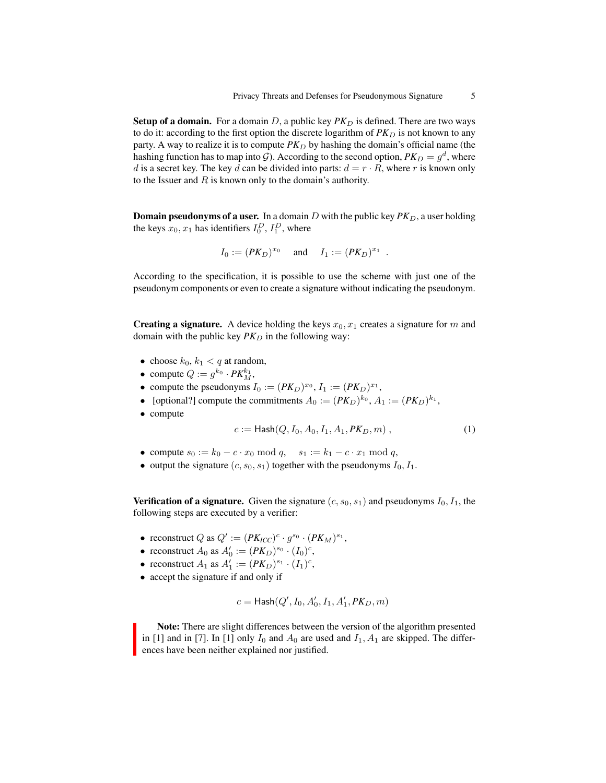**Setup of a domain.** For a domain D, a public key  $PK_D$  is defined. There are two ways to do it: according to the first option the discrete logarithm of  $PK<sub>D</sub>$  is not known to any party. A way to realize it is to compute  $PK_D$  by hashing the domain's official name (the hashing function has to map into  $\mathcal G$ ). According to the second option,  $PK_D=g^d,$  where d is a secret key. The key d can be divided into parts:  $d = r \cdot R$ , where r is known only to the Issuer and  $R$  is known only to the domain's authority.

**Domain pseudonyms of a user.** In a domain D with the public key  $PK_D$ , a user holding the keys  $x_0, x_1$  has identifiers  $I_0^D, I_1^D$ , where

$$
I_0 := (PK_D)^{x_0}
$$
 and  $I_1 := (PK_D)^{x_1}$ 

According to the specification, it is possible to use the scheme with just one of the pseudonym components or even to create a signature without indicating the pseudonym.

**Creating a signature.** A device holding the keys  $x_0, x_1$  creates a signature for m and domain with the public key  $PK_D$  in the following way:

- choose  $k_0, k_1 < q$  at random,
- compute  $Q := g^{k_0} \cdot PK_{M}^{k_1}$ ,
- compute the pseudonyms  $I_0 := (PK_D)^{x_0}, I_1 := (PK_D)^{x_1},$
- [optional?] compute the commitments  $A_0 := (PK_D)^{k_0}, A_1 := (PK_D)^{k_1},$
- compute

$$
c := \mathsf{Hash}(Q, I_0, A_0, I_1, A_1, PK_D, m) , \tag{1}
$$

.

- compute  $s_0 := k_0 c \cdot x_0 \mod q$ ,  $s_1 := k_1 c \cdot x_1 \mod q$ ,
- output the signature  $(c, s_0, s_1)$  together with the pseudonyms  $I_0, I_1$ .

**Verification of a signature.** Given the signature  $(c, s_0, s_1)$  and pseudonyms  $I_0, I_1$ , the following steps are executed by a verifier:

- reconstruct Q as  $Q' := (PK_{ICC})^c \cdot g^{s_0} \cdot (PK_M)^{s_1}$ ,
- reconstruct  $A_0$  as  $A'_0 := (PK_D)^{s_0} \cdot (I_0)^c$ ,
- reconstruct  $A_1$  as  $A'_1 := (PK_D)^{s_1} \cdot (I_1)^c$ ,
- accept the signature if and only if

$$
c=\mathsf{Hash}(Q',I_0,A_0',I_1,A_1',PK_D,m)
$$

Note: There are slight differences between the version of the algorithm presented in [1] and in [7]. In [1] only  $I_0$  and  $A_0$  are used and  $I_1$ ,  $A_1$  are skipped. The differences have been neither explained nor justified.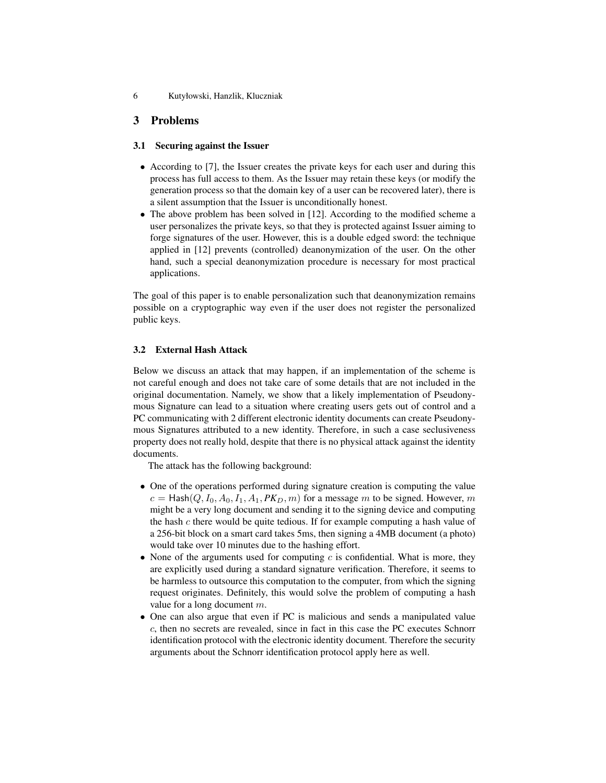6 Kutyłowski, Hanzlik, Kluczniak

# 3 Problems

### 3.1 Securing against the Issuer

- According to [7], the Issuer creates the private keys for each user and during this process has full access to them. As the Issuer may retain these keys (or modify the generation process so that the domain key of a user can be recovered later), there is a silent assumption that the Issuer is unconditionally honest.
- The above problem has been solved in [12]. According to the modified scheme a user personalizes the private keys, so that they is protected against Issuer aiming to forge signatures of the user. However, this is a double edged sword: the technique applied in [12] prevents (controlled) deanonymization of the user. On the other hand, such a special deanonymization procedure is necessary for most practical applications.

The goal of this paper is to enable personalization such that deanonymization remains possible on a cryptographic way even if the user does not register the personalized public keys.

### 3.2 External Hash Attack

Below we discuss an attack that may happen, if an implementation of the scheme is not careful enough and does not take care of some details that are not included in the original documentation. Namely, we show that a likely implementation of Pseudonymous Signature can lead to a situation where creating users gets out of control and a PC communicating with 2 different electronic identity documents can create Pseudonymous Signatures attributed to a new identity. Therefore, in such a case seclusiveness property does not really hold, despite that there is no physical attack against the identity documents.

The attack has the following background:

- One of the operations performed during signature creation is computing the value  $c =$  Hash $(Q, I_0, A_0, I_1, A_1, PK_D, m)$  for a message m to be signed. However, m might be a very long document and sending it to the signing device and computing the hash c there would be quite tedious. If for example computing a hash value of a 256-bit block on a smart card takes 5ms, then signing a 4MB document (a photo) would take over 10 minutes due to the hashing effort.
- None of the arguments used for computing  $c$  is confidential. What is more, they are explicitly used during a standard signature verification. Therefore, it seems to be harmless to outsource this computation to the computer, from which the signing request originates. Definitely, this would solve the problem of computing a hash value for a long document m.
- One can also argue that even if PC is malicious and sends a manipulated value c, then no secrets are revealed, since in fact in this case the PC executes Schnorr identification protocol with the electronic identity document. Therefore the security arguments about the Schnorr identification protocol apply here as well.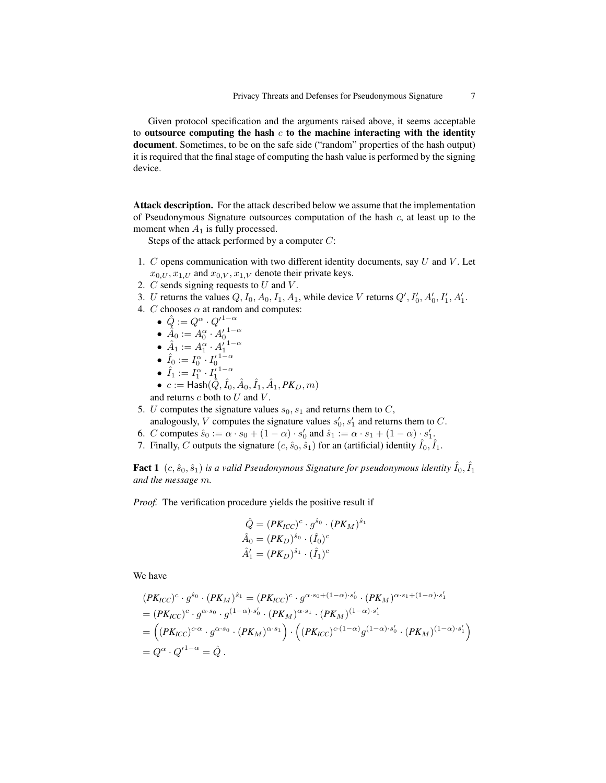Given protocol specification and the arguments raised above, it seems acceptable to outsource computing the hash  $c$  to the machine interacting with the identity document. Sometimes, to be on the safe side ("random" properties of the hash output) it is required that the final stage of computing the hash value is performed by the signing device.

Attack description. For the attack described below we assume that the implementation of Pseudonymous Signature outsources computation of the hash  $c$ , at least up to the moment when  $A_1$  is fully processed.

Steps of the attack performed by a computer C:

- 1.  $C$  opens communication with two different identity documents, say  $U$  and  $V$ . Let  $x_{0,U}, x_{1,U}$  and  $x_{0,V}, x_{1,V}$  denote their private keys.
- 2.  $C$  sends signing requests to  $U$  and  $V$ .
- 3. U returns the values  $Q, I_0, A_0, I_1, A_1$ , while device V returns  $Q', I'_0, A'_0, I'_1, A'_1$ .
- 4. C chooses  $\alpha$  at random and computes:
	- $\bullet \ \ \hat{Q} := Q^{\alpha} \cdot {Q'}^{1-\alpha}$
	- $\hat{A}_0 := A_0^\alpha \cdot A_0^{\prime}{}^{1-\alpha}$

$$
\bullet \ \hat{A}_1 := A_1^{\alpha} \cdot {A'_1}^{1-\alpha}
$$

- $\hat{I}_0 := I_0^\alpha \cdot I_0^{\prime \, 1 \alpha}$
- $\hat{I}_1 := I_1^{\alpha} \cdot I_1^{\prime}{}^{1-\alpha}$
- $\bullet \ \ c:=\mathsf{Hash}(\hat{\bar{Q}}, \hat{I}_0, \hat{A}_0, \hat{I}_1, \hat{A}_1, PK_D, m)$

and returns  $c$  both to  $U$  and  $V$ .

- 5. U computes the signature values  $s_0$ ,  $s_1$  and returns them to C, analogously, V computes the signature values  $s'_0, s'_1$  and returns them to C.
- 6. C computes  $\hat{s}_0 := \alpha \cdot s_0 + (1 \alpha) \cdot s'_0$  and  $\hat{s}_1 := \alpha \cdot s_1 + (1 \alpha) \cdot s'_1$ .
- 7. Finally, C outputs the signature  $(c, \hat{s}_0, \hat{s}_1)$  for an (artificial) identity  $\hat{I}_0, \hat{I}_1$ .

**Fact 1**  $(c, \hat{s}_0, \hat{s}_1)$  is a valid Pseudonymous Signature for pseudonymous identity  $\hat{I}_0, \hat{I}_1$ *and the message* m*.*

*Proof.* The verification procedure yields the positive result if

$$
\hat{Q} = (PK_{ICC})^c \cdot g^{\hat{s}_0} \cdot (PK_M)^{\hat{s}_1}
$$

$$
\hat{A}_0 = (PK_D)^{\hat{s}_0} \cdot (\hat{I}_0)^c
$$

$$
\hat{A}'_1 = (PK_D)^{\hat{s}_1} \cdot (\hat{I}_1)^c
$$

We have

$$
(PK_{ICC})^c \cdot g^{\hat{s}_0} \cdot (PK_M)^{\hat{s}_1} = (PK_{ICC})^c \cdot g^{\alpha \cdot s_0 + (1-\alpha) \cdot s'_0} \cdot (PK_M)^{\alpha \cdot s_1 + (1-\alpha) \cdot s'_1}
$$
  
=  $(PK_{ICC})^c \cdot g^{\alpha \cdot s_0} \cdot g^{(1-\alpha) \cdot s'_0} \cdot (PK_M)^{\alpha \cdot s_1} \cdot (PK_M)^{(1-\alpha) \cdot s'_1}$   
=  $((PK_{ICC})^{c \cdot \alpha} \cdot g^{\alpha \cdot s_0} \cdot (PK_M)^{\alpha \cdot s_1}) \cdot ((PK_{ICC})^{c \cdot (1-\alpha)} g^{(1-\alpha) \cdot s'_0} \cdot (PK_M)^{(1-\alpha) \cdot s'_1})$   
=  $Q^{\alpha} \cdot Q'^{1-\alpha} = \hat{Q}$ .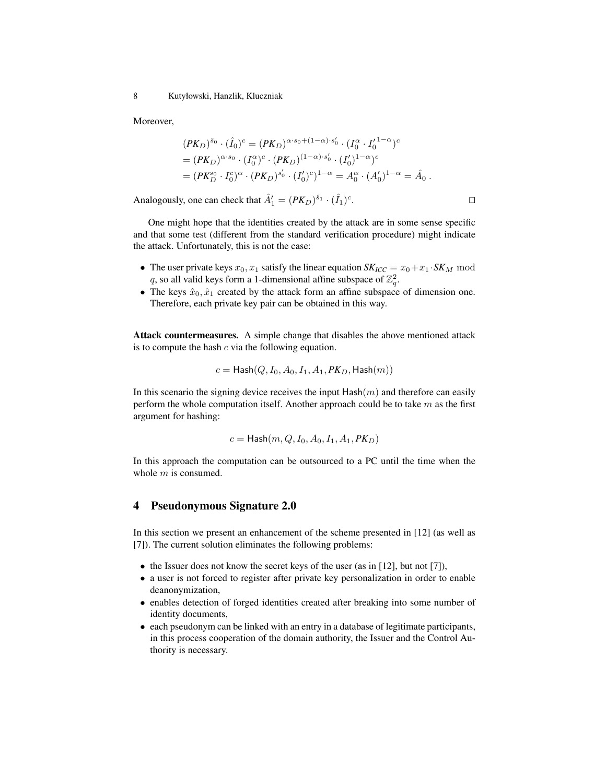8 Kutyłowski, Hanzlik, Kluczniak

Moreover,

$$
(PK_D)^{\hat{s}_0} \cdot (\hat{I}_0)^c = (PK_D)^{\alpha \cdot s_0 + (1-\alpha) \cdot s'_0} \cdot (I_0^{\alpha} \cdot I_0'^{1-\alpha})^c
$$
  
= 
$$
(PK_D)^{\alpha \cdot s_0} \cdot (I_0^{\alpha})^c \cdot (PK_D)^{(1-\alpha) \cdot s'_0} \cdot (I_0')^{1-\alpha})^c
$$
  
= 
$$
(PK_D^{s_0} \cdot I_0^c)^{\alpha} \cdot (PK_D)^{s'_0} \cdot (I_0')^c)^{1-\alpha} = A_0^{\alpha} \cdot (A_0')^{1-\alpha} = \hat{A}_0.
$$

Analogously, one can check that  $\hat{A}'_1 = (PK_D)^{\hat{s}_1} \cdot (\hat{I}_1)^c$ . The contract of the contract  $\Box$ 

One might hope that the identities created by the attack are in some sense specific and that some test (different from the standard verification procedure) might indicate the attack. Unfortunately, this is not the case:

- The user private keys  $x_0, x_1$  satisfy the linear equation  $SK_{\text{ICC}} = x_0 + x_1 \cdot SK_M$  mod q, so all valid keys form a 1-dimensional affine subspace of  $\mathbb{Z}_q^2$ .
- The keys  $\hat{x}_0, \hat{x}_1$  created by the attack form an affine subspace of dimension one. Therefore, each private key pair can be obtained in this way.

Attack countermeasures. A simple change that disables the above mentioned attack is to compute the hash  $c$  via the following equation.

$$
c=\mathsf{Hash}(Q, I_0, A_0, I_1, A_1, PK_D, \mathsf{Hash}(m))
$$

In this scenario the signing device receives the input  $\text{Hash}(m)$  and therefore can easily perform the whole computation itself. Another approach could be to take  $m$  as the first argument for hashing:

$$
c = \mathsf{Hash}(m, Q, I_0, A_0, I_1, A_1, PK_D)
$$

In this approach the computation can be outsourced to a PC until the time when the whole  $m$  is consumed.

### 4 Pseudonymous Signature 2.0

In this section we present an enhancement of the scheme presented in [12] (as well as [7]). The current solution eliminates the following problems:

- the Issuer does not know the secret keys of the user (as in [12], but not [7]),
- a user is not forced to register after private key personalization in order to enable deanonymization,
- enables detection of forged identities created after breaking into some number of identity documents,
- each pseudonym can be linked with an entry in a database of legitimate participants, in this process cooperation of the domain authority, the Issuer and the Control Authority is necessary.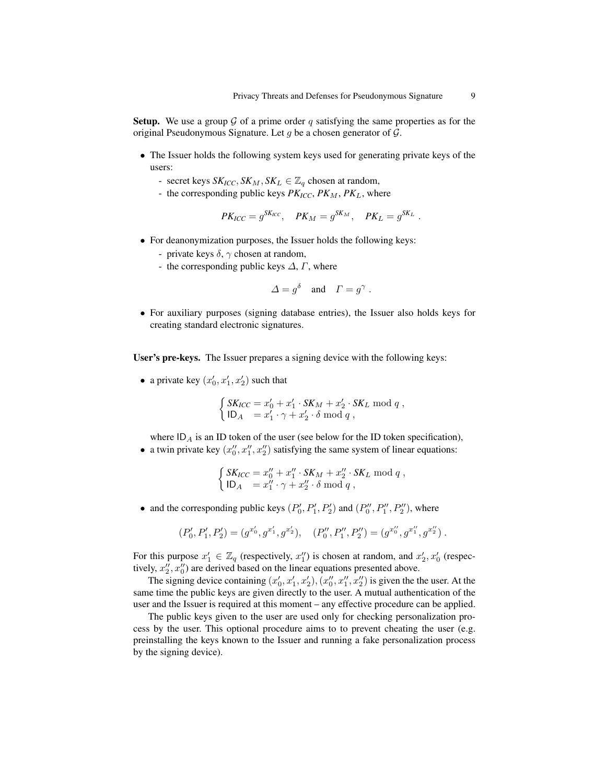**Setup.** We use a group  $\mathcal G$  of a prime order q satisfying the same properties as for the original Pseudonymous Signature. Let  $q$  be a chosen generator of  $\mathcal{G}$ .

- The Issuer holds the following system keys used for generating private keys of the users:
	- secret keys  $SK_{ICC}$ ,  $SK_M$ ,  $SK_L \in \mathbb{Z}_q$  chosen at random,
	- the corresponding public keys  $PK_{ICC}$ ,  $PK_M$ ,  $PK_L$ , where

$$
PK_{ICC}=g^{SK_{ICC}}, \quad PK_M=g^{SK_M}, \quad PK_L=g^{SK_L}.
$$

- For deanonymization purposes, the Issuer holds the following keys:
	- private keys  $\delta$ ,  $\gamma$  chosen at random,
	- the corresponding public keys  $\Delta$ ,  $\Gamma$ , where

$$
\Delta = g^{\delta} \quad \text{and} \quad \Gamma = g^{\gamma} \ .
$$

• For auxiliary purposes (signing database entries), the Issuer also holds keys for creating standard electronic signatures.

User's pre-keys. The Issuer prepares a signing device with the following keys:

• a private key  $(x'_0, x'_1, x'_2)$  such that

$$
\begin{cases}\nSK_{ICC} = x'_0 + x'_1 \cdot SK_M + x'_2 \cdot SK_L \text{ mod } q, \\
ID_A = x'_1 \cdot \gamma + x'_2 \cdot \delta \text{ mod } q,\n\end{cases}
$$

where  $ID_A$  is an ID token of the user (see below for the ID token specification), • a twin private key  $(x_0'', x_1'', x_2'')$  satisfying the same system of linear equations:

$$
\int SK_{ICC} = x_0'' + x_1'' \cdot SK_M + x_2'' \cdot SK_L \text{ mod } q,
$$

$$
\begin{cases}\nSK_{ICC} = x_0'' + x_1'' \cdot SK_M + x_2'' \cdot SK_L \text{ mod } q, \\
ID_A = x_1'' \cdot \gamma + x_2'' \cdot \delta \text{ mod } q,\n\end{cases}
$$

• and the corresponding public keys  $(P'_0, P'_1, P'_2)$  and  $(P''_0, P''_1, P''_2)$ , where

$$
(P'_0, P'_1, P'_2) = (g^{x'_0}, g^{x'_1}, g^{x'_2}), \quad (P''_0, P''_1, P''_2) = (g^{x''_0}, g^{x''_1}, g^{x''_2}).
$$

For this purpose  $x'_1 \in \mathbb{Z}_q$  (respectively,  $x''_1$ ) is chosen at random, and  $x'_2, x'_0$  (respectively,  $x_2''$ ,  $x_0''$ ) are derived based on the linear equations presented above.

The signing device containing  $(x'_0, x'_1, x'_2), (x''_0, x''_1, x''_2)$  is given the the user. At the same time the public keys are given directly to the user. A mutual authentication of the user and the Issuer is required at this moment – any effective procedure can be applied.

The public keys given to the user are used only for checking personalization process by the user. This optional procedure aims to to prevent cheating the user (e.g. preinstalling the keys known to the Issuer and running a fake personalization process by the signing device).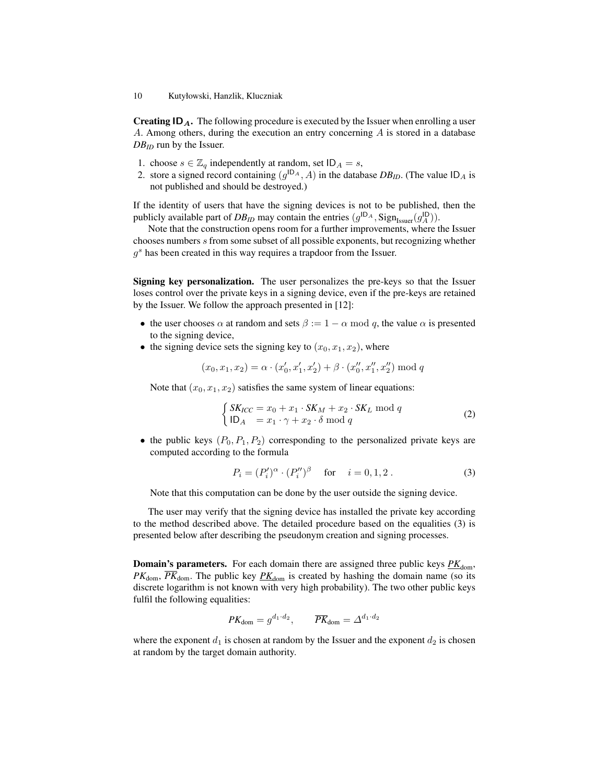**Creating**  $ID_A$ **.** The following procedure is executed by the Issuer when enrolling a user A. Among others, during the execution an entry concerning A is stored in a database *DBID* run by the Issuer.

- 1. choose  $s \in \mathbb{Z}_q$  independently at random, set  $ID_A = s$ ,
- 2. store a signed record containing  $(g^{ID_A}, A)$  in the database  $DB_{ID}$ . (The value  $ID_A$  is not published and should be destroyed.)

If the identity of users that have the signing devices is not to be published, then the publicly available part of  $DB_{ID}$  may contain the entries  $(g^{ID_A}, Sign_{Isuer}(g_A^{ID}))$ .

Note that the construction opens room for a further improvements, where the Issuer chooses numbers s from some subset of all possible exponents, but recognizing whether  $g<sup>s</sup>$  has been created in this way requires a trapdoor from the Issuer.

Signing key personalization. The user personalizes the pre-keys so that the Issuer loses control over the private keys in a signing device, even if the pre-keys are retained by the Issuer. We follow the approach presented in [12]:

- the user chooses  $\alpha$  at random and sets  $\beta := 1 \alpha \mod q$ , the value  $\alpha$  is presented to the signing device,
- the signing device sets the signing key to  $(x_0, x_1, x_2)$ , where

$$
(x_0, x_1, x_2) = \alpha \cdot (x'_0, x'_1, x'_2) + \beta \cdot (x''_0, x''_1, x''_2) \bmod q
$$

Note that  $(x_0, x_1, x_2)$  satisfies the same system of linear equations:

$$
\begin{cases}\nSK_{ICC} = x_0 + x_1 \cdot SK_M + x_2 \cdot SK_L \text{ mod } q \\
ID_A = x_1 \cdot \gamma + x_2 \cdot \delta \text{ mod } q\n\end{cases}
$$
\n(2)

• the public keys  $(P_0, P_1, P_2)$  corresponding to the personalized private keys are computed according to the formula

$$
P_i = (P'_i)^{\alpha} \cdot (P''_i)^{\beta} \quad \text{for} \quad i = 0, 1, 2. \tag{3}
$$

Note that this computation can be done by the user outside the signing device.

The user may verify that the signing device has installed the private key according to the method described above. The detailed procedure based on the equalities (3) is presented below after describing the pseudonym creation and signing processes.

**Domain's parameters.** For each domain there are assigned three public keys  $PK_{\text{dom}}$ ,  $PK<sub>dom</sub>$ ,  $\overline{PK}_{dom}$ . The public key  $\overline{PK}_{dom}$  is created by hashing the domain name (so its discrete logarithm is not known with very high probability). The two other public keys fulfil the following equalities:

$$
PK_{\text{dom}} = g^{d_1 \cdot d_2}, \qquad \overline{PK}_{\text{dom}} = \Delta^{d_1 \cdot d_2}
$$

where the exponent  $d_1$  is chosen at random by the Issuer and the exponent  $d_2$  is chosen at random by the target domain authority.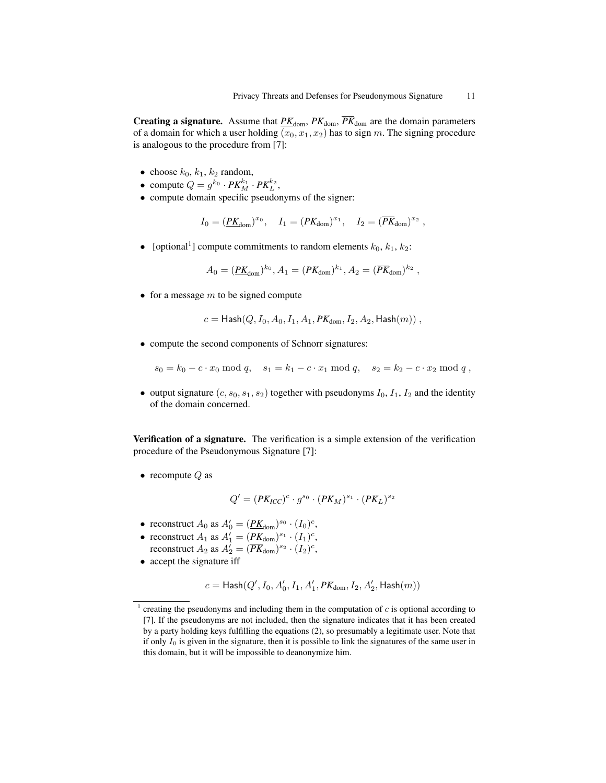**Creating a signature.** Assume that  $PK_{\text{dom}}$ ,  $PK_{\text{dom}}$ ,  $\overline{PK}_{\text{dom}}$  are the domain parameters of a domain for which a user holding  $(x_0, x_1, x_2)$  has to sign m. The signing procedure is analogous to the procedure from [7]:

- choose  $k_0, k_1, k_2$  random,
- compute  $Q = g^{k_0} \cdot PK_M^{k_1} \cdot PK_L^{k_2}$ ,
- compute domain specific pseudonyms of the signer:

$$
I_0 = (\underline{PK}_{\text{dom}})^{x_0}, \quad I_1 = (PK_{\text{dom}})^{x_1}, \quad I_2 = (\overline{PK}_{\text{dom}})^{x_2},
$$

• [optional<sup>1</sup>] compute commitments to random elements  $k_0, k_1, k_2$ :

$$
A_0 = (\underline{PK}_{\text{dom}})^{k_0}, A_1 = (PK_{\text{dom}})^{k_1}, A_2 = (\overline{PK}_{\text{dom}})^{k_2},
$$

• for a message  $m$  to be signed compute

$$
c = \text{Hash}(Q, I_0, A_0, I_1, A_1, PK_{\text{dom}}, I_2, A_2, \text{Hash}(m)),
$$

• compute the second components of Schnorr signatures:

 $s_0 = k_0 - c \cdot x_0 \mod q$ ,  $s_1 = k_1 - c \cdot x_1 \mod q$ ,  $s_2 = k_2 - c \cdot x_2 \mod q$ ,

• output signature  $(c, s_0, s_1, s_2)$  together with pseudonyms  $I_0, I_1, I_2$  and the identity of the domain concerned.

Verification of a signature. The verification is a simple extension of the verification procedure of the Pseudonymous Signature [7]:

• recompute  $Q$  as

$$
Q' = (PK_{ICC})^c \cdot g^{s_0} \cdot (PK_M)^{s_1} \cdot (PK_L)^{s_2}
$$

- reconstruct  $A_0$  as  $A'_0 = (\underline{PK}_{dom})^{s_0} \cdot (I_0)^c$ ,
- reconstruct  $A_1$  as  $A'_1 = (PK_{\text{dom}})^{s_1} \cdot (I_1)^c$ ,
	- reconstruct  $A_2$  as  $A'_2 = (\overline{PK}_{dom})^{s_2} \cdot (I_2)^c$ ,
- accept the signature iff

$$
c=\mathsf{Hash}(Q',I_0,A_0',I_1,A_1',PK_{\mathrm{dom}},I_2,A_2',\mathsf{Hash}(m))
$$

<sup>&</sup>lt;sup>1</sup> creating the pseudonyms and including them in the computation of  $c$  is optional according to [7]. If the pseudonyms are not included, then the signature indicates that it has been created by a party holding keys fulfilling the equations (2), so presumably a legitimate user. Note that if only  $I_0$  is given in the signature, then it is possible to link the signatures of the same user in this domain, but it will be impossible to deanonymize him.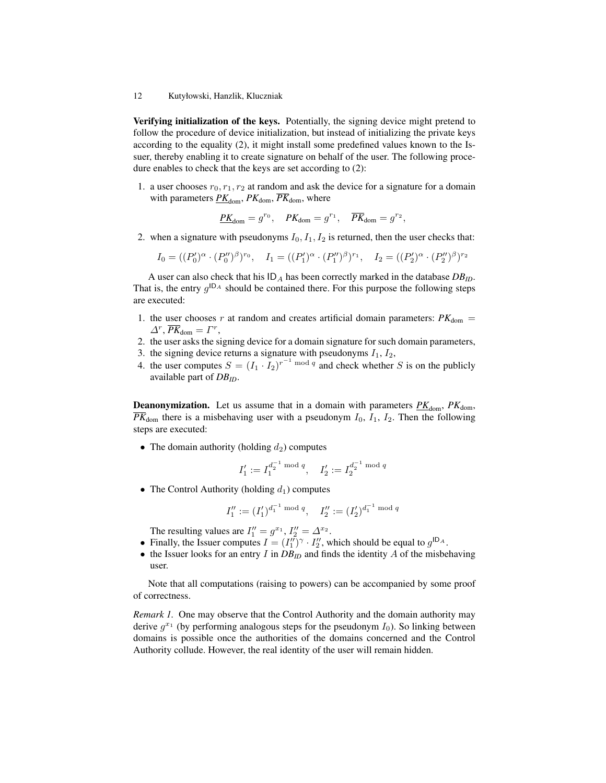Verifying initialization of the keys. Potentially, the signing device might pretend to follow the procedure of device initialization, but instead of initializing the private keys according to the equality (2), it might install some predefined values known to the Issuer, thereby enabling it to create signature on behalf of the user. The following procedure enables to check that the keys are set according to (2):

1. a user chooses  $r_0, r_1, r_2$  at random and ask the device for a signature for a domain with parameters  $PK_{\text{dom}}$ ,  $PK_{\text{dom}}$ ,  $\overline{PK}_{\text{dom}}$ , where

$$
\underline{PK}_{\text{dom}} = g^{r_0}, \quad PK_{\text{dom}} = g^{r_1}, \quad \overline{PK}_{\text{dom}} = g^{r_2},
$$

2. when a signature with pseudonyms  $I_0$ ,  $I_1$ ,  $I_2$  is returned, then the user checks that:

 $I_0 = ((P'_0)^{\alpha} \cdot (P''_0)^{\beta})^{r_0}, \quad I_1 = ((P'_1)^{\alpha} \cdot (P''_1)^{\beta})^{r_1}, \quad I_2 = ((P'_2)^{\alpha} \cdot (P''_2)^{\beta})^{r_2}$ 

A user can also check that his  $ID_A$  has been correctly marked in the database  $DB_{ID}$ . That is, the entry  $g^{ID_A}$  should be contained there. For this purpose the following steps are executed:

- 1. the user chooses r at random and creates artificial domain parameters:  $PK_{\text{dom}} =$  $\Delta^r$ ,  $\overline{PK}_{\text{dom}} = \Gamma^r$ ,
- 2. the user asks the signing device for a domain signature for such domain parameters,
- 3. the signing device returns a signature with pseudonyms  $I_1$ ,  $I_2$ ,
- 4. the user computes  $S = (I_1 \cdot I_2)^{r^{-1} \bmod q}$  and check whether S is on the publicly available part of *DBID*.

**Deanonymization.** Let us assume that in a domain with parameters  $PK_{\text{dom}}$ ,  $PK_{\text{dom}}$ ,  $\overline{PK}_{\text{dom}}$  there is a misbehaving user with a pseudonym  $I_0$ ,  $I_1$ ,  $I_2$ . Then the following steps are executed:

• The domain authority (holding  $d_2$ ) computes

$$
I_1' := I_1^{d_2^{-1} \bmod q}, \quad I_2' := I_2^{d_2^{-1} \bmod q}
$$

• The Control Authority (holding  $d_1$ ) computes

$$
I_1'':=(I_1')^{d_1^{-1}\bmod q},\quad I_2'':=(I_2')^{d_1^{-1}\bmod q}
$$

The resulting values are  $I_1'' = g^{x_1}$ ,  $I_2'' = \Delta^{x_2}$ .

- Finally, the Issuer computes  $I = (I''_1)^\gamma \cdot I''_2$ , which should be equal to  $g^{1D_A}$ .
- the Issuer looks for an entry  $I$  in  $DB_{ID}$  and finds the identity  $A$  of the misbehaving user.

Note that all computations (raising to powers) can be accompanied by some proof of correctness.

*Remark 1.* One may observe that the Control Authority and the domain authority may derive  $g^{x_1}$  (by performing analogous steps for the pseudonym  $I_0$ ). So linking between domains is possible once the authorities of the domains concerned and the Control Authority collude. However, the real identity of the user will remain hidden.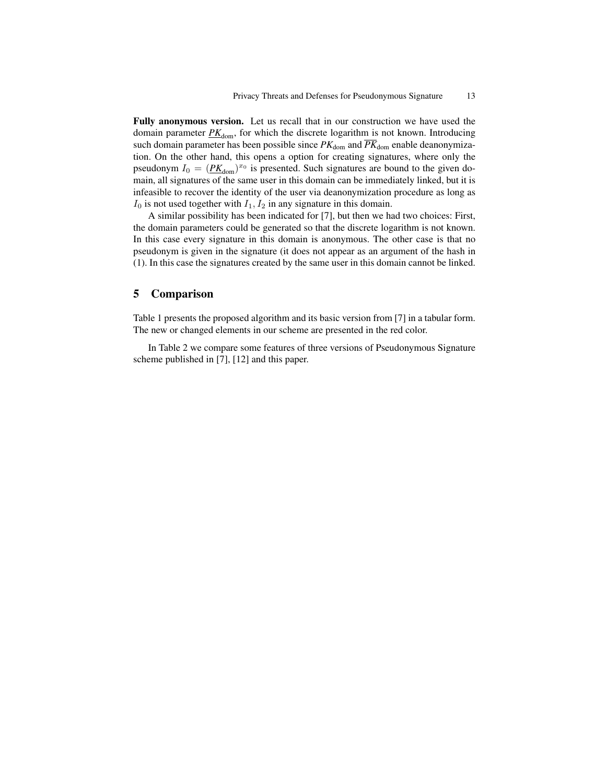Fully anonymous version. Let us recall that in our construction we have used the domain parameter  $PK_{\text{dom}}$ , for which the discrete logarithm is not known. Introducing such domain parameter has been possible since  $PK_{\text{dom}}$  and  $\overline{PK}_{\text{dom}}$  enable deanonymization. On the other hand, this opens a option for creating signatures, where only the pseudonym  $I_0 = (P K_{\text{dom}})^{x_0}$  is presented. Such signatures are bound to the given domain, all signatures of the same user in this domain can be immediately linked, but it is infeasible to recover the identity of the user via deanonymization procedure as long as  $I_0$  is not used together with  $I_1, I_2$  in any signature in this domain.

A similar possibility has been indicated for [7], but then we had two choices: First, the domain parameters could be generated so that the discrete logarithm is not known. In this case every signature in this domain is anonymous. The other case is that no pseudonym is given in the signature (it does not appear as an argument of the hash in (1). In this case the signatures created by the same user in this domain cannot be linked.

# 5 Comparison

Table 1 presents the proposed algorithm and its basic version from [7] in a tabular form. The new or changed elements in our scheme are presented in the red color.

In Table 2 we compare some features of three versions of Pseudonymous Signature scheme published in [7], [12] and this paper.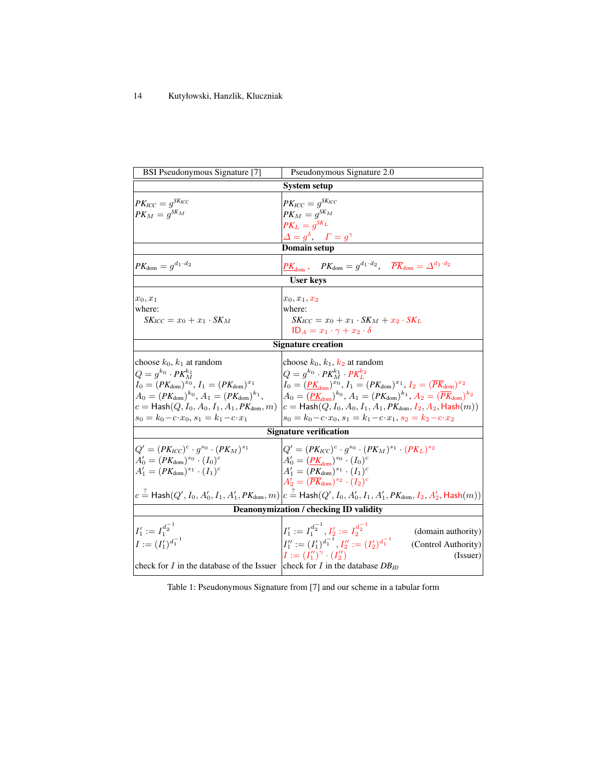| BSI Pseudonymous Signature [7]                                                                                                                                                                                                                                                                                          | Pseudonymous Signature 2.0                                                                                                                                                                                                                                                                                                                                                                                                                                                        |  |  |  |
|-------------------------------------------------------------------------------------------------------------------------------------------------------------------------------------------------------------------------------------------------------------------------------------------------------------------------|-----------------------------------------------------------------------------------------------------------------------------------------------------------------------------------------------------------------------------------------------------------------------------------------------------------------------------------------------------------------------------------------------------------------------------------------------------------------------------------|--|--|--|
| <b>System setup</b>                                                                                                                                                                                                                                                                                                     |                                                                                                                                                                                                                                                                                                                                                                                                                                                                                   |  |  |  |
| $PK_{ICC}=g^{SK_{ICC}}$<br>$PK_M = g^{SK_M}$                                                                                                                                                                                                                                                                            | $PK_{ICC}=g^{SK_{ICC}}$<br>$PK_M = g^{SK_M}$<br>$PK_L = q^{SK_L}$<br>$\varDelta \equiv g^\delta, \quad \varGamma = g^\gamma$                                                                                                                                                                                                                                                                                                                                                      |  |  |  |
| Domain setup                                                                                                                                                                                                                                                                                                            |                                                                                                                                                                                                                                                                                                                                                                                                                                                                                   |  |  |  |
| $PK_{\text{dom}} = g^{d_1 \cdot d_2}$                                                                                                                                                                                                                                                                                   | $PK_{\text{dom}} = g^{d_1 \cdot d_2}, \quad \overline{PK}_{\text{dom}} = \Delta^{d_1 \cdot d_2}$<br>$PK_{\text{dom}}$ ,                                                                                                                                                                                                                                                                                                                                                           |  |  |  |
| <b>User keys</b>                                                                                                                                                                                                                                                                                                        |                                                                                                                                                                                                                                                                                                                                                                                                                                                                                   |  |  |  |
| $x_0, x_1$<br>where:<br>$SK_{\text{ICC}} = x_0 + x_1 \cdot SK_{\text{M}}$                                                                                                                                                                                                                                               | $x_0, x_1, x_2$<br>where:<br>$SK_{ICC} = x_0 + x_1 \cdot SK_M + x_2 \cdot SK_L$<br>$ID_A = x_1 \cdot \gamma + x_2 \cdot \delta$                                                                                                                                                                                                                                                                                                                                                   |  |  |  |
| <b>Signature creation</b>                                                                                                                                                                                                                                                                                               |                                                                                                                                                                                                                                                                                                                                                                                                                                                                                   |  |  |  |
| choose $k_0$ , $k_1$ at random<br>$Q = g^{k_0} \cdot PK_M^{k_1}$<br>$I_0 = (PK_{\text{dom}})^{x_0}, I_1 = (PK_{\text{dom}})^{x_1}$<br>$A_0 = (PK_{\text{dom}})^{k_0}, A_1 = (PK_{\text{dom}})^{k_1},$<br>$c =$ Hash $(Q, I_0, A_0, I_1, A_1, PK_{\text{dom}}, m)$<br>$s_0 = k_0 - c \cdot x_0, s_1 = k_1 - c \cdot x_1$ | choose $k_0, k_1, k_2$ at random<br>$Q=g^{k_0}\cdot PK_M^{k_1}\cdot PK_L^{k_2}$<br>$I_0 = (\underline{PK}_{\text{dom}})^{x_0}, I_1 = (PK_{\text{dom}})^{x_1}, I_2 = (\overline{PK}_{\text{dom}})^{x_2}$<br>$A_0 = (PK_{\text{dom}})^{k_0}, A_1 = (PK_{\text{dom}})^{k_1}, A_2 = (\overline{PK}_{\text{dom}})^{k_2}$<br>$c =$ Hash $(Q, I_0, A_0, I_1, A_1, PK_{\text{dom}}, I_2, A_2,$ Hash $(m))$<br>$s_0 = k_0 - c \cdot x_0, s_1 = k_1 - c \cdot x_1, s_2 = k_2 - c \cdot x_2$ |  |  |  |
| <b>Signature verification</b>                                                                                                                                                                                                                                                                                           |                                                                                                                                                                                                                                                                                                                                                                                                                                                                                   |  |  |  |
| $Q' = (PK_{ICC})^c \cdot g^{s_0} \cdot (PK_M)^{s_1}$<br>$A'_0 = (PK_{\text{dom}})^{s_0} \cdot (I_0)^c$<br>$A'_1 = (PK_{\text{dom}})^{s_1} \cdot (I_1)^c$                                                                                                                                                                | $Q' = (PK_{ICC})^c \cdot g^{s_0} \cdot (PK_M)^{s_1} \cdot (PK_L)^{s_2}$<br>$A'_0 = (\underline{PK}_{\text{dom}})^{s_0} \cdot (I_0)^c$<br>$A'_1 = (PK_{\text{dom}})^{s_1} \cdot (I_1)^c$<br>$A'_2 = (\overline{PK}_{\text{dom}})^{s_2} \cdot (I_2)^c$<br>$c\stackrel{?}{=}$ Hash $(Q',I_0,A_0',I_1,A_1',PK_{\mathrm{dom}},m)\big c\stackrel{?}{=}$ Hash $(Q',I_0,A_0',I_1,A_1',PK_{\mathrm{dom}},I_2,A_2',\mathsf{Hash}(m))$                                                       |  |  |  |
| Deanonymization / checking ID validity                                                                                                                                                                                                                                                                                  |                                                                                                                                                                                                                                                                                                                                                                                                                                                                                   |  |  |  |
| $I'_1 := I_1^{d_2^{-1}}$<br>$I := (I'_1)^{d_1^{-1}}$<br>check for $I$ in the database of the Issuer                                                                                                                                                                                                                     | $I'_1 := I_1^{d_2^{-1}}, I'_2 := I_2^{d_2^{-1}}$<br>(domain authority)<br>$I_1'' := (I_1')^{d_1^{-1}}, I_2'' := (I_2')^{d_1^{-1}}$<br>(Control Authority)<br>$I := (I''_1)^\gamma \cdot (I''_2)$<br>(Issuer)<br>check for I in the database $DB_{ID}$                                                                                                                                                                                                                             |  |  |  |
|                                                                                                                                                                                                                                                                                                                         |                                                                                                                                                                                                                                                                                                                                                                                                                                                                                   |  |  |  |

Table 1: Pseudonymous Signature from [7] and our scheme in a tabular form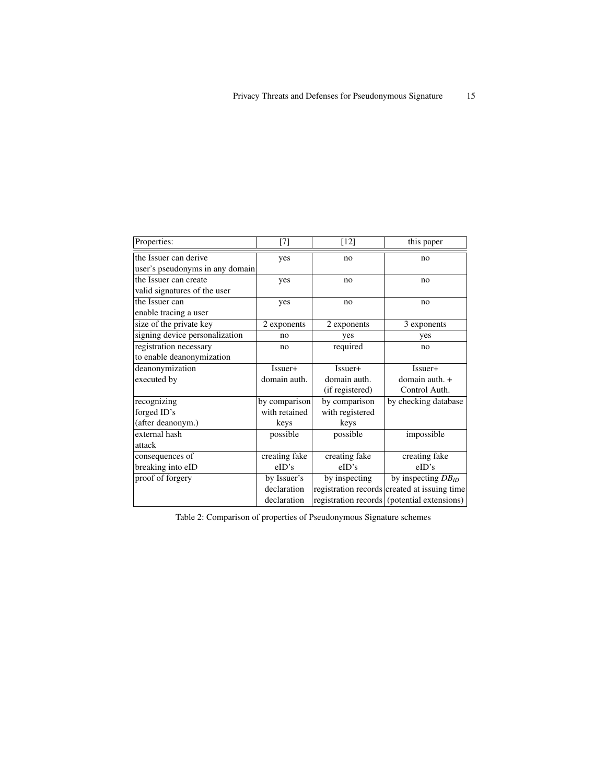| Properties:                     | [7]           | $[12]$          | this paper                                   |
|---------------------------------|---------------|-----------------|----------------------------------------------|
| the Issuer can derive           | yes           | no              | no                                           |
| user's pseudonyms in any domain |               |                 |                                              |
| the Issuer can create           | yes           | no              | no                                           |
| valid signatures of the user    |               |                 |                                              |
| the Issuer can                  | yes           | no              | no                                           |
| enable tracing a user           |               |                 |                                              |
| size of the private key         | 2 exponents   | 2 exponents     | 3 exponents                                  |
| signing device personalization  | no            | yes             | yes                                          |
| registration necessary          | no            | required        | no                                           |
| to enable deanonymization       |               |                 |                                              |
| deanonymization                 | Issuer+       | Issuer+         | Issuer+                                      |
| executed by                     | domain auth.  | domain auth.    | domain auth. $+$                             |
|                                 |               | (if registered) | Control Auth.                                |
| recognizing                     | by comparison | by comparison   | by checking database                         |
| forged ID's                     | with retained | with registered |                                              |
| (after deanonym.)               | keys          | keys            |                                              |
| external hash                   | possible      | possible        | impossible                                   |
| attack                          |               |                 |                                              |
| consequences of                 | creating fake | creating fake   | creating fake                                |
| breaking into eID               | eID's         | eID's           | eID's                                        |
| proof of forgery                | by Issuer's   | by inspecting   | by inspecting $DB$ <sub>ID</sub>             |
|                                 | declaration   |                 | registration records created at issuing time |
|                                 | declaration   |                 | registration records (potential extensions)  |

Table 2: Comparison of properties of Pseudonymous Signature schemes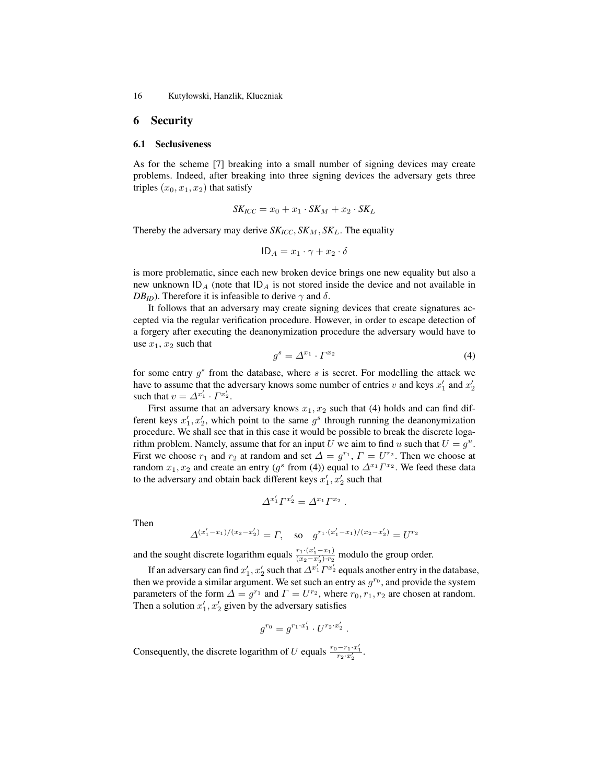16 Kutyłowski, Hanzlik, Kluczniak

## 6 Security

#### 6.1 Seclusiveness

As for the scheme [7] breaking into a small number of signing devices may create problems. Indeed, after breaking into three signing devices the adversary gets three triples  $(x_0, x_1, x_2)$  that satisfy

$$
SK_{ICC} = x_0 + x_1 \cdot SK_M + x_2 \cdot SK_L
$$

Thereby the adversary may derive  $SK_{ICC}$ ,  $SK_{M}$ ,  $SK_{L}$ . The equality

$$
ID_A = x_1 \cdot \gamma + x_2 \cdot \delta
$$

is more problematic, since each new broken device brings one new equality but also a new unknown  $ID_A$  (note that  $ID_A$  is not stored inside the device and not available in *DB<sub>ID</sub>*). Therefore it is infeasible to derive  $\gamma$  and  $\delta$ .

It follows that an adversary may create signing devices that create signatures accepted via the regular verification procedure. However, in order to escape detection of a forgery after executing the deanonymization procedure the adversary would have to use  $x_1, x_2$  such that

$$
g^s = \Delta^{x_1} \cdot \Gamma^{x_2} \tag{4}
$$

for some entry  $g^s$  from the database, where  $s$  is secret. For modelling the attack we have to assume that the adversary knows some number of entries v and keys  $x'_1$  and  $x'_2$ such that  $v = \Delta^{x'_1} \cdot \Gamma^{x'_2}$ .

First assume that an adversary knows  $x_1, x_2$  such that (4) holds and can find different keys  $x'_1, x'_2$ , which point to the same  $g^s$  through running the deanonymization procedure. We shall see that in this case it would be possible to break the discrete logarithm problem. Namely, assume that for an input U we aim to find u such that  $U = g^u$ . First we choose  $r_1$  and  $r_2$  at random and set  $\Delta = g^{r_1}$ ,  $\Gamma = U^{r_2}$ . Then we choose at random  $x_1, x_2$  and create an entry  $(g^s \text{ from (4)})$  equal to  $\Delta^{x_1} \Gamma^{x_2}$ . We feed these data to the adversary and obtain back different keys  $x'_1, x'_2$  such that

$$
\Delta^{x'_1} \Gamma^{x'_2} = \Delta^{x_1} \Gamma^{x_2} .
$$

Then

$$
\Delta^{(x'_1 - x_1)/(x_2 - x'_2)} = \Gamma, \text{ so } g^{r_1 \cdot (x'_1 - x_1)/(x_2 - x'_2)} = U^{r_2}
$$

and the sought discrete logarithm equals  $\frac{r_1 \cdot (x'_1 - x_1)}{(x_2 - x'_2) \cdot r_2}$  modulo the group order.

If an adversary can find  $x'_1, x'_2$  such that  $\Delta^{x_1'}\varGamma^{x_2'}$  equals another entry in the database, then we provide a similar argument. We set such an entry as  $g^{r_0}$ , and provide the system parameters of the form  $\Delta = g^{r_1}$  and  $\Gamma = U^{r_2}$ , where  $r_0, r_1, r_2$  are chosen at random. Then a solution  $x'_1, x'_2$  given by the adversary satisfies

$$
g^{r_0} = g^{r_1 \cdot x'_1} \cdot U^{r_2 \cdot x'_2} .
$$

Consequently, the discrete logarithm of U equals  $\frac{r_0 - r_1 \cdot x'_1}{r_2 \cdot x'_2}$ .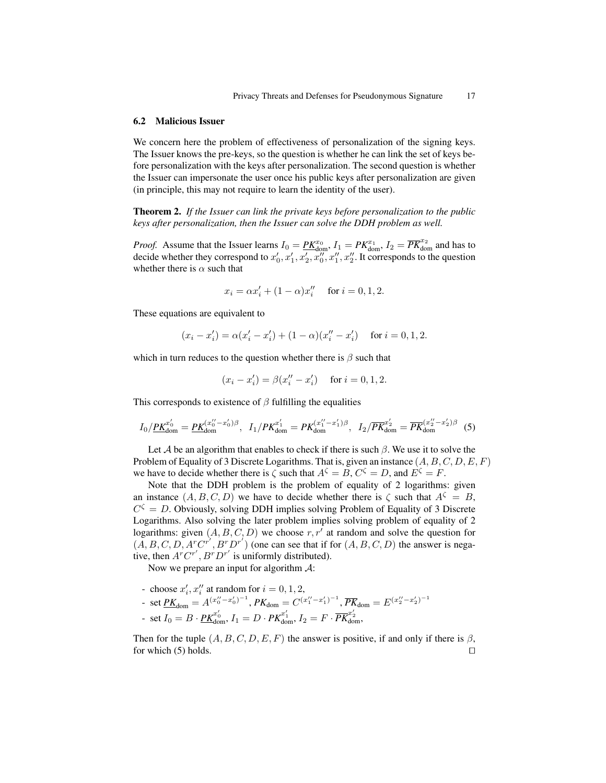#### 6.2 Malicious Issuer

We concern here the problem of effectiveness of personalization of the signing keys. The Issuer knows the pre-keys, so the question is whether he can link the set of keys before personalization with the keys after personalization. The second question is whether the Issuer can impersonate the user once his public keys after personalization are given (in principle, this may not require to learn the identity of the user).

Theorem 2. *If the Issuer can link the private keys before personalization to the public keys after personalization, then the Issuer can solve the DDH problem as well.*

*Proof.* Assume that the Issuer learns  $I_0 = \underline{PK}_{\text{dom}}^{\mathcal{X}_0}$ ,  $I_1 = PK_{\text{dom}}^{\mathcal{X}_1}$ ,  $I_2 = \overline{PK}_{\text{dom}}^{\mathcal{X}_2}$  and has to decide whether they correspond to  $x'_0, x'_1, x'_2, x''_0, x''_1, x''_2$ . It corresponds to the question whether there is  $\alpha$  such that

$$
x_i = \alpha x'_i + (1 - \alpha)x''_i
$$
 for  $i = 0, 1, 2$ .

These equations are equivalent to

$$
(x_i - x'_i) = \alpha (x'_i - x'_i) + (1 - \alpha)(x''_i - x'_i) \quad \text{ for } i = 0, 1, 2.
$$

which in turn reduces to the question whether there is  $\beta$  such that

$$
(x_i - x'_i) = \beta(x''_i - x'_i)
$$
 for  $i = 0, 1, 2$ .

This corresponds to existence of  $\beta$  fulfilling the equalities

$$
I_0 / \underline{P K}_{\text{dom}}^{x'_0} = \underline{P K}_{\text{dom}}^{(x''_0 - x'_0)\beta}, \quad I_1 / P K_{\text{dom}}^{x'_1} = P K_{\text{dom}}^{(x''_1 - x'_1)\beta}, \quad I_2 / \overline{P K}_{\text{dom}}^{x'_2} = \overline{P K}_{\text{dom}}^{(x''_2 - x'_2)\beta} \tag{5}
$$

Let A be an algorithm that enables to check if there is such  $\beta$ . We use it to solve the Problem of Equality of 3 Discrete Logarithms. That is, given an instance  $(A, B, C, D, E, F)$ we have to decide whether there is  $\zeta$  such that  $A^{\zeta} = B$ ,  $C^{\zeta} = D$ , and  $E^{\zeta} = F$ .

Note that the DDH problem is the problem of equality of 2 logarithms: given an instance  $(A, B, C, D)$  we have to decide whether there is  $\zeta$  such that  $A^{\zeta} = B$ ,  $C^{\zeta} = D$ . Obviously, solving DDH implies solving Problem of Equality of 3 Discrete Logarithms. Also solving the later problem implies solving problem of equality of 2 logarithms: given  $(A, B, C, D)$  we choose  $r, r'$  at random and solve the question for  $(\overline{A}, B, C, D, A^r C^{r^{\lambda}}, B^r D^{r^{\lambda}})$  (one can see that if for  $(A, B, C, D)$  the answer is negative, then  $A^r C^{r'}$ ,  $B^r D^{r'}$  is uniformly distributed).

Now we prepare an input for algorithm  $\mathcal{A}$ :

- choose  $x'_i, x''_i$  at random for  $i = 0, 1, 2$ ,

- set 
$$
\underline{PK}_{\text{dom}} = A^{(x''_0 - x'_0)^{-1}}
$$
,  $PK_{\text{dom}} = C^{(x''_1 - x'_1)^{-1}}$ ,  $\overline{PK}_{\text{dom}} = E^{(x''_2 - x'_2)^{-1}}$ 

- set  $I_0 = B \cdot \underline{PK}^{x_0'}_{\text{dom}}, I_1 = D \cdot PK^{x_1'}_{\text{dom}}, I_2 = F \cdot \overline{PK}^{x_2'}_{\text{dom}},$ 

Then for the tuple  $(A, B, C, D, E, F)$  the answer is positive, if and only if there is  $\beta$ , for which (5) holds.  $\Box$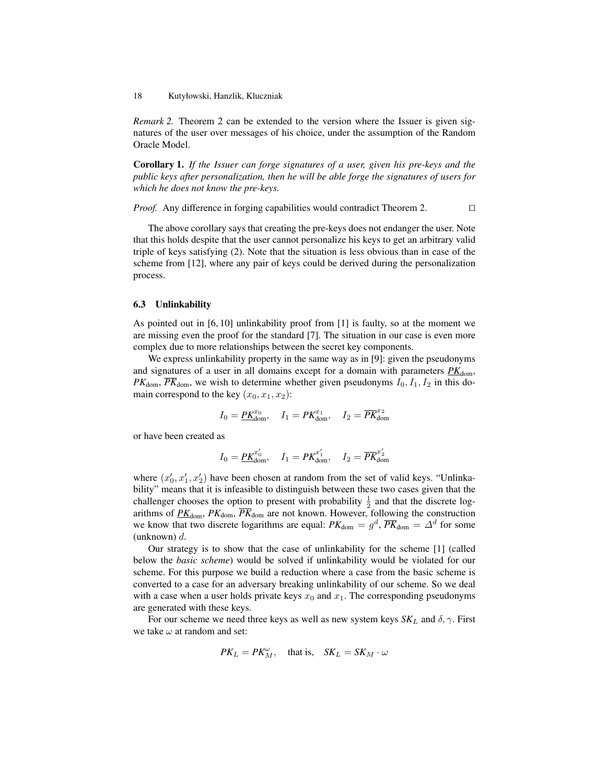*Remark 2.* Theorem 2 can be extended to the version where the Issuer is given signatures of the user over messages of his choice, under the assumption of the Random Oracle Model.

Corollary 1. *If the Issuer can forge signatures of a user, given his pre-keys and the public keys after personalization, then he will be able forge the signatures of users for which he does not know the pre-keys.*

*Proof.* Any difference in forging capabilities would contradict Theorem 2.  $\Box$ 

The above corollary says that creating the pre-keys does not endanger the user. Note that this holds despite that the user cannot personalize his keys to get an arbitrary valid triple of keys satisfying (2). Note that the situation is less obvious than in case of the scheme from [12], where any pair of keys could be derived during the personalization process.

### 6.3 Unlinkability

As pointed out in [6, 10] unlinkability proof from [1] is faulty, so at the moment we are missing even the proof for the standard [7]. The situation in our case is even more complex due to more relationships between the secret key components.

We express unlinkability property in the same way as in [9]: given the pseudonyms and signatures of a user in all domains except for a domain with parameters  $PK_{\text{dom}}$ ,  $PK<sub>dom</sub>, \overline{PK}_{dom}$ , we wish to determine whether given pseudonyms  $I_0, I_1, I_2$  in this domain correspond to the key  $(x_0, x_1, x_2)$ :

$$
I_0 = \underline{PK}_{\text{dom}}^{x_0}, \quad I_1 = PK_{\text{dom}}^{x_1}, \quad I_2 = \overline{PK}_{\text{dom}}^{x_2}
$$

or have been created as

$$
I_0 = \underline{PK}_{\text{dom}}^{x'_0}, \quad I_1 = PK_{\text{dom}}^{x'_1}, \quad I_2 = \overline{PK}_{\text{dom}}^{x'_2}
$$

where  $(x'_0, x'_1, x'_2)$  have been chosen at random from the set of valid keys. "Unlinkability" means that it is infeasible to distinguish between these two cases given that the challenger chooses the option to present with probability  $\frac{1}{2}$  and that the discrete logarithms of  $\underline{PK}_{\text{dom}}$ ,  $PK_{\text{dom}}$ ,  $\overline{PK}_{\text{dom}}$  are not known. However, following the construction we know that two discrete logarithms are equal:  $PK_{\text{dom}} = g^d$ ,  $\overline{PK}_{\text{dom}} = \Delta^d$  for some (unknown)  $d$ .

Our strategy is to show that the case of unlinkability for the scheme [1] (called below the *basic scheme*) would be solved if unlinkability would be violated for our scheme. For this purpose we build a reduction where a case from the basic scheme is converted to a case for an adversary breaking unlinkability of our scheme. So we deal with a case when a user holds private keys  $x_0$  and  $x_1$ . The corresponding pseudonyms are generated with these keys.

For our scheme we need three keys as well as new system keys  $SK_L$  and  $\delta$ ,  $\gamma$ . First we take  $\omega$  at random and set:

$$
PK_L = PK_M^{\omega}, \text{ that is, } SK_L = SK_M \cdot \omega
$$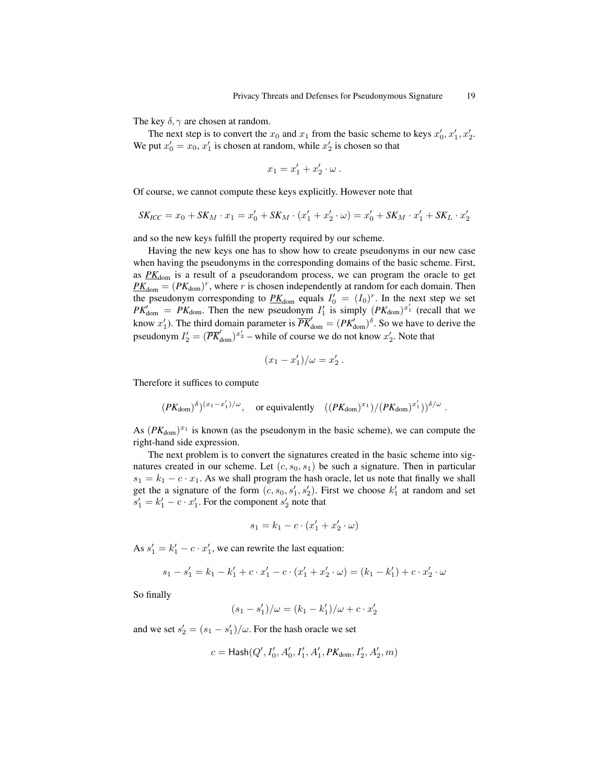The key  $\delta$ ,  $\gamma$  are chosen at random.

The next step is to convert the  $x_0$  and  $x_1$  from the basic scheme to keys  $x'_0, x'_1, x'_2$ . We put  $x'_0 = x_0, x'_1$  is chosen at random, while  $x'_2$  is chosen so that

$$
x_1 = x_1' + x_2' \cdot \omega \; .
$$

Of course, we cannot compute these keys explicitly. However note that

$$
SK_{ICC} = x_0 + SK_M \cdot x_1 = x'_0 + SK_M \cdot (x'_1 + x'_2 \cdot \omega) = x'_0 + SK_M \cdot x'_1 + SK_L \cdot x'_2
$$

and so the new keys fulfill the property required by our scheme.

Having the new keys one has to show how to create pseudonyms in our new case when having the pseudonyms in the corresponding domains of the basic scheme. First, as  $PK_{\text{dom}}$  is a result of a pseudorandom process, we can program the oracle to get  $P_{\text{Hom}} = (PK_{\text{dom}})^r$ , where r is chosen independently at random for each domain. Then the pseudonym corresponding to  $\underline{PK}_{\text{dom}}$  equals  $I_0' = (I_0)^r$ . In the next step we set  $PK_{\text{dom}}' = PK_{\text{dom}}$ . Then the new pseudonym  $I'_1$  is simply  $(PK_{\text{dom}})^{x'_1}$  (recall that we know  $x'_1$ ). The third domain parameter is  $\overline{PK}'_{\text{dom}} = (PK'_{\text{dom}})^{\delta}$ . So we have to derive the pseudonym  $I_2' = (\overline{PK}_{\text{dom}}')^{x_2'}$  – while of course we do not know  $x_2'$ . Note that

$$
(x_1 - x_1')/\omega = x_2' .
$$

Therefore it suffices to compute

$$
(PK_{\text{dom}})^\delta)^{(x_1-x_1')/\omega}, \quad \text{or equivalently} \quad ((PK_{\text{dom}})^{x_1})/(PK_{\text{dom}})^{x_1'})^{\delta/\omega} .
$$

As  $(PK_{\text{dom}})^{x_1}$  is known (as the pseudonym in the basic scheme), we can compute the right-hand side expression.

The next problem is to convert the signatures created in the basic scheme into signatures created in our scheme. Let  $(c, s_0, s_1)$  be such a signature. Then in particular  $s_1 = k_1 - c \cdot x_1$ . As we shall program the hash oracle, let us note that finally we shall get the a signature of the form  $(c, s_0, s'_1, s'_2)$ . First we choose  $k'_1$  at random and set  $s'_1 = k'_1 - c \cdot x'_1$ . For the component  $s'_2$  note that

$$
s_1 = k_1 - c \cdot (x'_1 + x'_2 \cdot \omega)
$$

As  $s'_1 = k'_1 - c \cdot x'_1$ , we can rewrite the last equation:

$$
s_1 - s_1' = k_1 - k_1' + c \cdot x_1' - c \cdot (x_1' + x_2' \cdot \omega) = (k_1 - k_1') + c \cdot x_2' \cdot \omega
$$

So finally

$$
(s_1 - s'_1)/\omega = (k_1 - k'_1)/\omega + c \cdot x'_2
$$

and we set  $s_2' = (s_1 - s_1')/\omega$ . For the hash oracle we set

$$
c={\sf{Hash}}(Q',I_0',A_0',I_1',A_1',PK_{\rm dom},I_2',A_2',m)
$$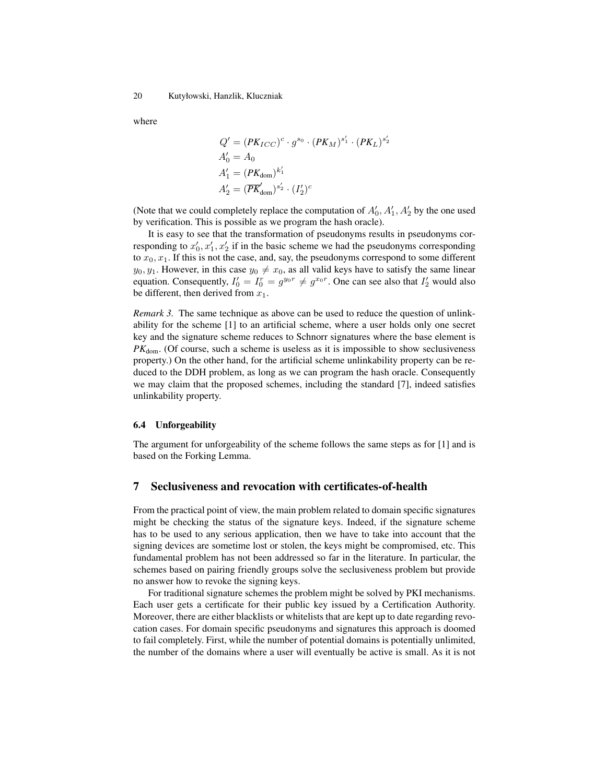where

$$
Q' = (PK_{ICC})^c \cdot g^{s_0} \cdot (PK_M)^{s'_1} \cdot (PK_L)^{s'_2}
$$
  
\n
$$
A'_0 = A_0
$$
  
\n
$$
A'_1 = (PK_{\text{dom}})^{k'_1}
$$
  
\n
$$
A'_2 = (\overline{PK}_{\text{dom}})^{s'_2} \cdot (I'_2)^c
$$

(Note that we could completely replace the computation of  $A'_0$ ,  $A'_1$ ,  $A'_2$  by the one used by verification. This is possible as we program the hash oracle).

It is easy to see that the transformation of pseudonyms results in pseudonyms corresponding to  $x'_0, x'_1, x'_2$  if in the basic scheme we had the pseudonyms corresponding to  $x_0, x_1$ . If this is not the case, and, say, the pseudonyms correspond to some different  $y_0, y_1$ . However, in this case  $y_0 \neq x_0$ , as all valid keys have to satisfy the same linear equation. Consequently,  $I'_0 = I_0^r = g^{y_0 r} \neq g^{x_0 r}$ . One can see also that  $I'_2$  would also be different, then derived from  $x_1$ .

*Remark 3.* The same technique as above can be used to reduce the question of unlinkability for the scheme [1] to an artificial scheme, where a user holds only one secret key and the signature scheme reduces to Schnorr signatures where the base element is  $PK<sub>dom</sub>$ . (Of course, such a scheme is useless as it is impossible to show seclusiveness property.) On the other hand, for the artificial scheme unlinkability property can be reduced to the DDH problem, as long as we can program the hash oracle. Consequently we may claim that the proposed schemes, including the standard [7], indeed satisfies unlinkability property.

#### 6.4 Unforgeability

The argument for unforgeability of the scheme follows the same steps as for [1] and is based on the Forking Lemma.

# 7 Seclusiveness and revocation with certificates-of-health

From the practical point of view, the main problem related to domain specific signatures might be checking the status of the signature keys. Indeed, if the signature scheme has to be used to any serious application, then we have to take into account that the signing devices are sometime lost or stolen, the keys might be compromised, etc. This fundamental problem has not been addressed so far in the literature. In particular, the schemes based on pairing friendly groups solve the seclusiveness problem but provide no answer how to revoke the signing keys.

For traditional signature schemes the problem might be solved by PKI mechanisms. Each user gets a certificate for their public key issued by a Certification Authority. Moreover, there are either blacklists or whitelists that are kept up to date regarding revocation cases. For domain specific pseudonyms and signatures this approach is doomed to fail completely. First, while the number of potential domains is potentially unlimited, the number of the domains where a user will eventually be active is small. As it is not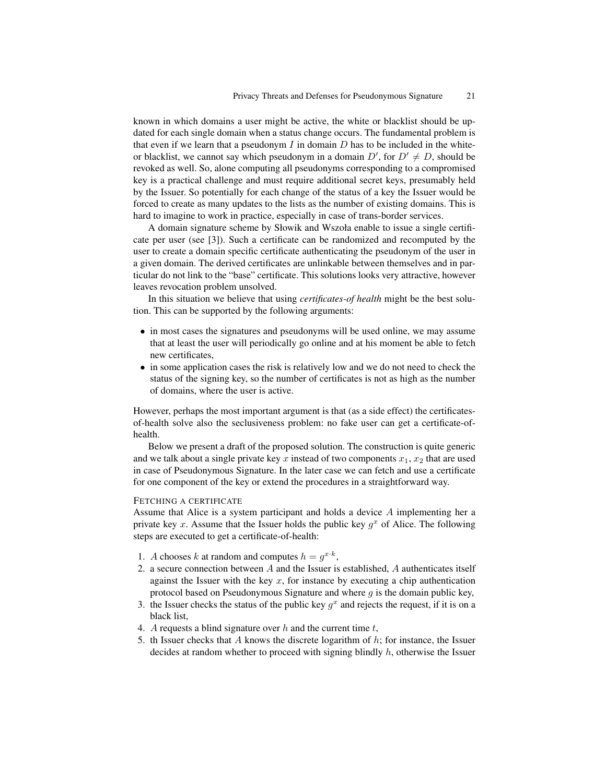known in which domains a user might be active, the white or blacklist should be updated for each single domain when a status change occurs. The fundamental problem is that even if we learn that a pseudonym  $I$  in domain  $D$  has to be included in the whiteor blacklist, we cannot say which pseudonym in a domain  $D'$ , for  $D' \neq D$ , should be revoked as well. So, alone computing all pseudonyms corresponding to a compromised key is a practical challenge and must require additional secret keys, presumably held by the Issuer. So potentially for each change of the status of a key the Issuer would be forced to create as many updates to the lists as the number of existing domains. This is hard to imagine to work in practice, especially in case of trans-border services.

A domain signature scheme by Słowik and Wszoła enable to issue a single certificate per user (see [3]). Such a certificate can be randomized and recomputed by the user to create a domain specific certificate authenticating the pseudonym of the user in a given domain. The derived certificates are unlinkable between themselves and in particular do not link to the "base" certificate. This solutions looks very attractive, however leaves revocation problem unsolved.

In this situation we believe that using *certificates-of health* might be the best solution. This can be supported by the following arguments:

- in most cases the signatures and pseudonyms will be used online, we may assume that at least the user will periodically go online and at his moment be able to fetch new certificates,
- in some application cases the risk is relatively low and we do not need to check the status of the signing key, so the number of certificates is not as high as the number of domains, where the user is active.

However, perhaps the most important argument is that (as a side effect) the certificatesof-health solve also the seclusiveness problem: no fake user can get a certificate-ofhealth.

Below we present a draft of the proposed solution. The construction is quite generic and we talk about a single private key x instead of two components  $x_1, x_2$  that are used in case of Pseudonymous Signature. In the later case we can fetch and use a certificate for one component of the key or extend the procedures in a straightforward way.

### FETCHING A CERTIFICATE

Assume that Alice is a system participant and holds a device A implementing her a private key x. Assume that the Issuer holds the public key  $g^x$  of Alice. The following steps are executed to get a certificate-of-health:

- 1. A chooses k at random and computes  $h = g^{x \cdot k}$ ,
- 2. a secure connection between A and the Issuer is established, A authenticates itself against the Issuer with the key  $x$ , for instance by executing a chip authentication protocol based on Pseudonymous Signature and where  $q$  is the domain public key,
- 3. the Issuer checks the status of the public key  $g^x$  and rejects the request, if it is on a black list,
- 4. A requests a blind signature over h and the current time  $t$ ,
- 5. th Issuer checks that  $A$  knows the discrete logarithm of  $h$ ; for instance, the Issuer decides at random whether to proceed with signing blindly  $h$ , otherwise the Issuer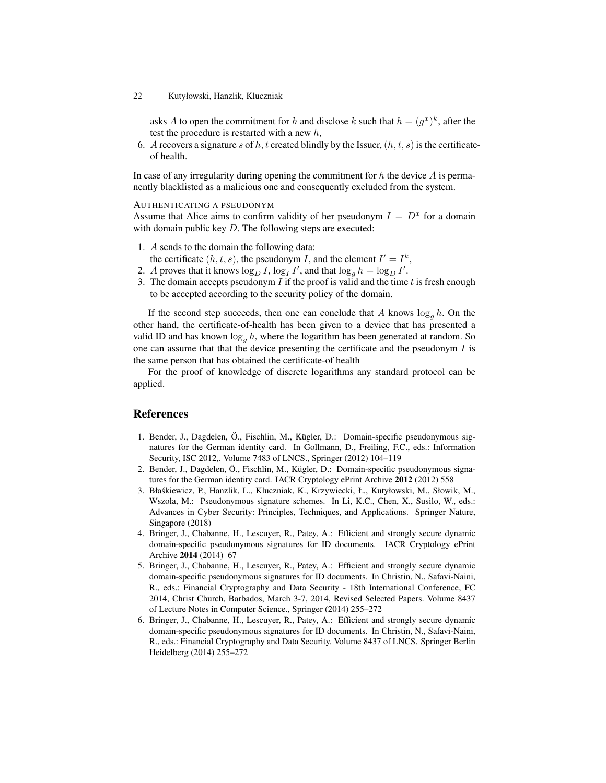#### 22 Kutyłowski, Hanzlik, Kluczniak

asks A to open the commitment for h and disclose k such that  $h = (g^x)^k$ , after the test the procedure is restarted with a new  $h$ ,

6. A recovers a signature s of h, t created blindly by the Issuer,  $(h, t, s)$  is the certificateof health.

In case of any irregularity during opening the commitment for  $h$  the device  $A$  is permanently blacklisted as a malicious one and consequently excluded from the system.

AUTHENTICATING A PSEUDONYM

Assume that Alice aims to confirm validity of her pseudonym  $I = D<sup>x</sup>$  for a domain with domain public key  $D$ . The following steps are executed:

- 1. A sends to the domain the following data: the certificate  $(h, t, s)$ , the pseudonym I, and the element  $I' = I^k$ ,
- 2. A proves that it knows  $\log_D I$ ,  $\log_I I'$ , and that  $\log_g h = \log_D I'$ .
- 3. The domain accepts pseudonym  $I$  if the proof is valid and the time  $t$  is fresh enough to be accepted according to the security policy of the domain.

If the second step succeeds, then one can conclude that A knows  $\log_a h$ . On the other hand, the certificate-of-health has been given to a device that has presented a valid ID and has known  $\log_q h$ , where the logarithm has been generated at random. So one can assume that that the device presenting the certificate and the pseudonym  $I$  is the same person that has obtained the certificate-of health

For the proof of knowledge of discrete logarithms any standard protocol can be applied.

### References

- 1. Bender, J., Dagdelen, Ö., Fischlin, M., Kügler, D.: Domain-specific pseudonymous signatures for the German identity card. In Gollmann, D., Freiling, F.C., eds.: Information Security, ISC 2012,. Volume 7483 of LNCS., Springer (2012) 104–119
- 2. Bender, J., Dagdelen, Ö., Fischlin, M., Kügler, D.: Domain-specific pseudonymous signatures for the German identity card. IACR Cryptology ePrint Archive 2012 (2012) 558
- 3. Błaskiewicz, P., Hanzlik, L., Kluczniak, K., Krzywiecki, Ł., Kutyłowski, M., Słowik, M., ´ Wszoła, M.: Pseudonymous signature schemes. In Li, K.C., Chen, X., Susilo, W., eds.: Advances in Cyber Security: Principles, Techniques, and Applications. Springer Nature, Singapore (2018)
- 4. Bringer, J., Chabanne, H., Lescuyer, R., Patey, A.: Efficient and strongly secure dynamic domain-specific pseudonymous signatures for ID documents. IACR Cryptology ePrint Archive 2014 (2014) 67
- 5. Bringer, J., Chabanne, H., Lescuyer, R., Patey, A.: Efficient and strongly secure dynamic domain-specific pseudonymous signatures for ID documents. In Christin, N., Safavi-Naini, R., eds.: Financial Cryptography and Data Security - 18th International Conference, FC 2014, Christ Church, Barbados, March 3-7, 2014, Revised Selected Papers. Volume 8437 of Lecture Notes in Computer Science., Springer (2014) 255–272
- 6. Bringer, J., Chabanne, H., Lescuyer, R., Patey, A.: Efficient and strongly secure dynamic domain-specific pseudonymous signatures for ID documents. In Christin, N., Safavi-Naini, R., eds.: Financial Cryptography and Data Security. Volume 8437 of LNCS. Springer Berlin Heidelberg (2014) 255–272